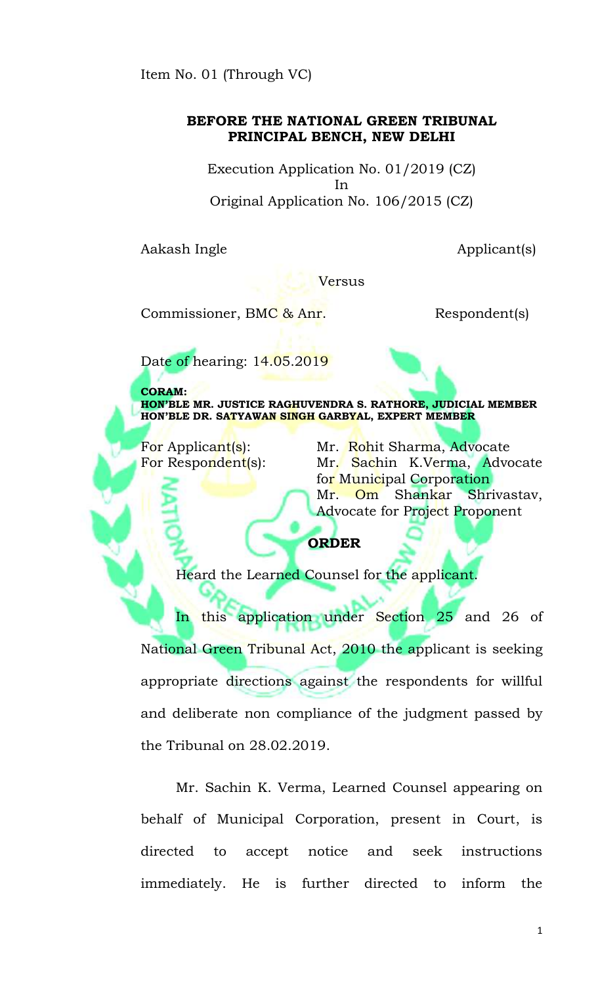Item No. 01 (Through VC)

## **BEFORE THE NATIONAL GREEN TRIBUNAL PRINCIPAL BENCH, NEW DELHI**

Execution Application No. 01/2019 (CZ) In Original Application No. 106/2015 (CZ)

Aakash Ingle Applicant(s)

Versus

Commissioner, BMC & Anr. Respondent(s)

Date of hearing: 14.05.2019

**CORAM: HON'BLE MR. JUSTICE RAGHUVENDRA S. RATHORE, JUDICIAL MEMBER HON'BLE DR. SATYAWAN SINGH GARBYAL, EXPERT MEMBER**

For Applicant(s): Mr. Rohit Sharma, Advocate For Respondent(s): Mr. Sachin K.Verma, Advocate for Municipal Corporation Mr. Om Shankar Shrivastav, Advocate for Project Proponent

## **ORDER**

Heard the Learned Counsel for the applicant

In this application under Section 25 and 26 of National Green Tribunal Act, 2010 the applicant is seeking appropriate directions against the respondents for willful and deliberate non compliance of the judgment passed by the Tribunal on 28.02.2019.

Mr. Sachin K. Verma, Learned Counsel appearing on behalf of Municipal Corporation, present in Court, is directed to accept notice and seek instructions immediately. He is further directed to inform the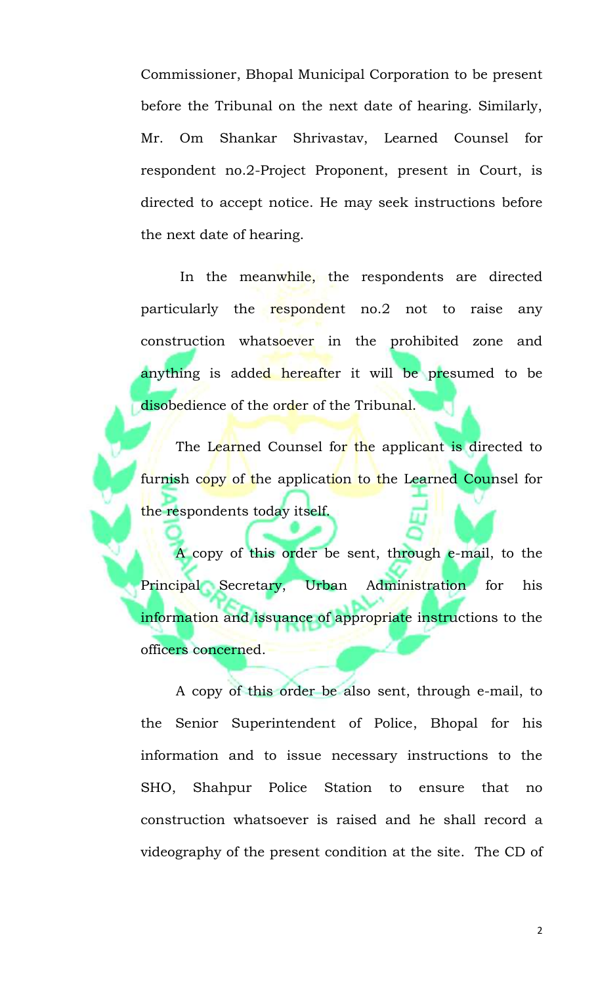Commissioner, Bhopal Municipal Corporation to be present before the Tribunal on the next date of hearing. Similarly, Mr. Om Shankar Shrivastav, Learned Counsel for respondent no.2-Project Proponent, present in Court, is directed to accept notice. He may seek instructions before the next date of hearing.

In the meanwhile, the respondents are directed particularly the respondent no.2 not to raise any construction whatsoever in the prohibited zone and anything is added hereafter it will be presumed to be disobedience of the order of the Tribunal.

The Learned Counsel for the applicant is directed to furnish copy of the application to the Learned Counsel for the respondents today itself.

A copy of this order be sent, through e-mail, to the Principal Secretary, Urban Administration for his information and issuance of appropriate instructions to the officers concerned.

A copy of this order be also sent, through e-mail, to the Senior Superintendent of Police, Bhopal for his information and to issue necessary instructions to the SHO, Shahpur Police Station to ensure that no construction whatsoever is raised and he shall record a videography of the present condition at the site. The CD of